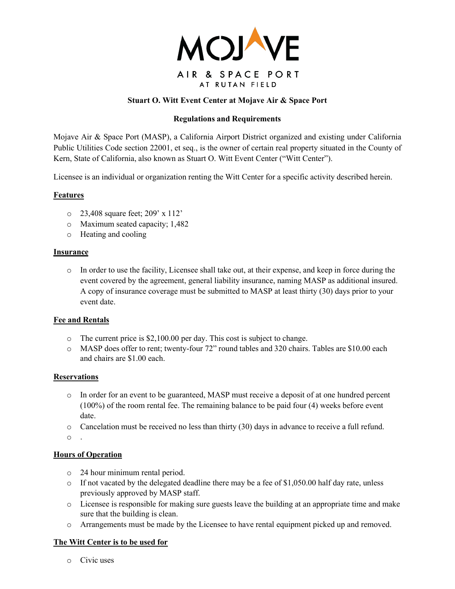

# **Stuart O. Witt Event Center at Mojave Air & Space Port**

## **Regulations and Requirements**

Mojave Air & Space Port (MASP), a California Airport District organized and existing under California Public Utilities Code section 22001, et seq., is the owner of certain real property situated in the County of Kern, State of California, also known as Stuart O. Witt Event Center ("Witt Center").

Licensee is an individual or organization renting the Witt Center for a specific activity described herein.

### **Features**

- o 23,408 square feet; 209' x 112'
- o Maximum seated capacity; 1,482
- o Heating and cooling

#### **Insurance**

o In order to use the facility, Licensee shall take out, at their expense, and keep in force during the event covered by the agreement, general liability insurance, naming MASP as additional insured. A copy of insurance coverage must be submitted to MASP at least thirty (30) days prior to your event date.

### **Fee and Rentals**

- o The current price is \$2,100.00 per day. This cost is subject to change.
- o MASP does offer to rent; twenty-four 72" round tables and 320 chairs. Tables are \$10.00 each and chairs are \$1.00 each.

### **Reservations**

- o In order for an event to be guaranteed, MASP must receive a deposit of at one hundred percent (100%) of the room rental fee. The remaining balance to be paid four (4) weeks before event date.
- $\circ$  Cancelation must be received no less than thirty (30) days in advance to receive a full refund.

o .

## **Hours of Operation**

- o 24 hour minimum rental period.
- $\circ$  If not vacated by the delegated deadline there may be a fee of \$1,050.00 half day rate, unless previously approved by MASP staff.
- o Licensee is responsible for making sure guests leave the building at an appropriate time and make sure that the building is clean.
- o Arrangements must be made by the Licensee to have rental equipment picked up and removed.

### **The Witt Center is to be used for**

o Civic uses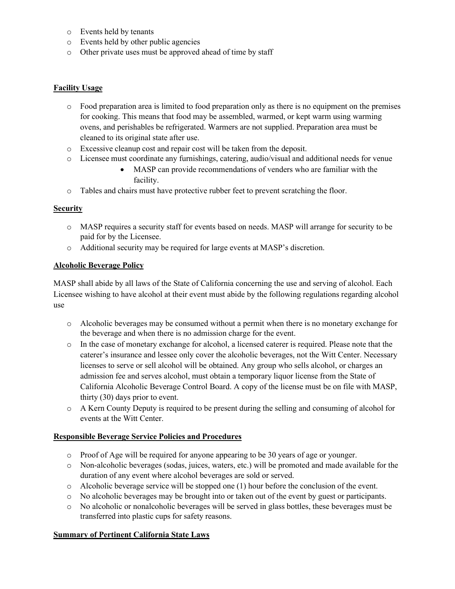- o Events held by tenants
- o Events held by other public agencies
- o Other private uses must be approved ahead of time by staff

## **Facility Usage**

- o Food preparation area is limited to food preparation only as there is no equipment on the premises for cooking. This means that food may be assembled, warmed, or kept warm using warming ovens, and perishables be refrigerated. Warmers are not supplied. Preparation area must be cleaned to its original state after use.
- o Excessive cleanup cost and repair cost will be taken from the deposit.
- o Licensee must coordinate any furnishings, catering, audio/visual and additional needs for venue
	- MASP can provide recommendations of venders who are familiar with the facility.
- o Tables and chairs must have protective rubber feet to prevent scratching the floor.

### **Security**

- o MASP requires a security staff for events based on needs. MASP will arrange for security to be paid for by the Licensee.
- o Additional security may be required for large events at MASP's discretion.

### **Alcoholic Beverage Policy**

MASP shall abide by all laws of the State of California concerning the use and serving of alcohol. Each Licensee wishing to have alcohol at their event must abide by the following regulations regarding alcohol use

- o Alcoholic beverages may be consumed without a permit when there is no monetary exchange for the beverage and when there is no admission charge for the event.
- o In the case of monetary exchange for alcohol, a licensed caterer is required. Please note that the caterer's insurance and lessee only cover the alcoholic beverages, not the Witt Center. Necessary licenses to serve or sell alcohol will be obtained. Any group who sells alcohol, or charges an admission fee and serves alcohol, must obtain a temporary liquor license from the State of California Alcoholic Beverage Control Board. A copy of the license must be on file with MASP, thirty (30) days prior to event.
- o A Kern County Deputy is required to be present during the selling and consuming of alcohol for events at the Witt Center.

### **Responsible Beverage Service Policies and Procedures**

- o Proof of Age will be required for anyone appearing to be 30 years of age or younger.
- o Non-alcoholic beverages (sodas, juices, waters, etc.) will be promoted and made available for the duration of any event where alcohol beverages are sold or served.
- $\circ$  Alcoholic beverage service will be stopped one (1) hour before the conclusion of the event.
- o No alcoholic beverages may be brought into or taken out of the event by guest or participants.
- o No alcoholic or nonalcoholic beverages will be served in glass bottles, these beverages must be transferred into plastic cups for safety reasons.

### **Summary of Pertinent California State Laws**